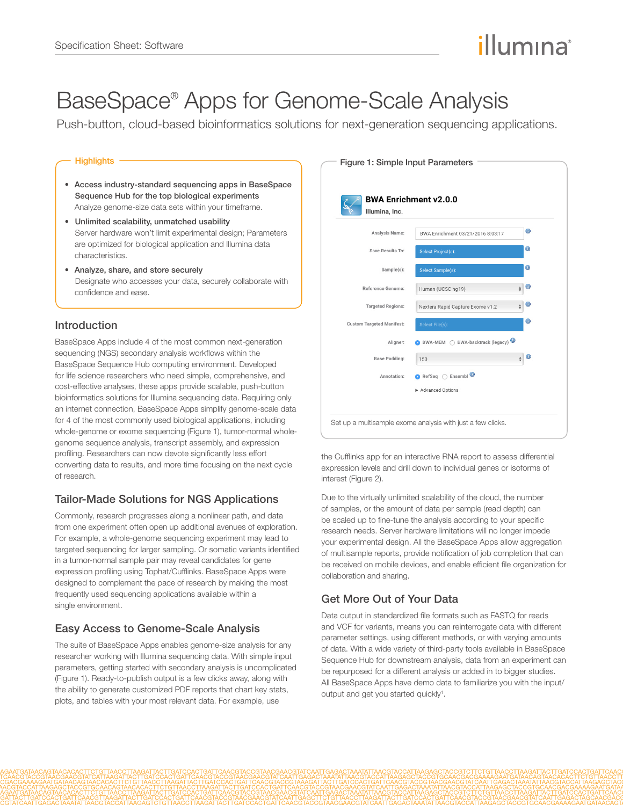# illumına

## BaseSpace® Apps for Genome-Scale Analysis

Push-button, cloud-based bioinformatics solutions for next-generation sequencing applications.

#### **Highlights**

- Access industry-standard sequencing apps in BaseSpace Sequence Hub for the top biological experiments Analyze genome-size data sets within your timeframe.
- Unlimited scalability, unmatched usability Server hardware won't limit experimental design; Parameters are optimized for biological application and Illumina data characteristics.
- Analyze, share, and store securely Designate who accesses your data, securely collaborate with confidence and ease.

## Introduction

BaseSpace Apps include 4 of the most common next-generation sequencing (NGS) secondary analysis workflows within the BaseSpace Sequence Hub computing environment. Developed for life science researchers who need simple, comprehensive, and cost-effective analyses, these apps provide scalable, push-button bioinformatics solutions for Illumina sequencing data. Requiring only an internet connection, BaseSpace Apps simplify genome-scale data for 4 of the most commonly used biological applications, including whole-genome or exome sequencing (Figure 1), tumor-normal wholegenome sequence analysis, transcript assembly, and expression profiling. Researchers can now devote significantly less effort converting data to results, and more time focusing on the next cycle of research.

## Tailor-Made Solutions for NGS Applications

Commonly, research progresses along a nonlinear path, and data from one experiment often open up additional avenues of exploration. For example, a whole-genome sequencing experiment may lead to targeted sequencing for larger sampling. Or somatic variants identified in a tumor-normal sample pair may reveal candidates for gene expression profiling using Tophat/Cufflinks. BaseSpace Apps were designed to complement the pace of research by making the most frequently used sequencing applications available within a single environment.

## Easy Access to Genome-Scale Analysis

The suite of BaseSpace Apps enables genome-size analysis for any researcher working with Illumina sequencing data. With simple input parameters, getting started with secondary analysis is uncomplicated (Figure 1). Ready-to-publish output is a few clicks away, along with the ability to generate customized PDF reports that chart key stats, plots, and tables with your most relevant data. For example, use

| Illumina, Inc.                   | <b>BWA Enrichment v2.0.0</b>        |                                   |
|----------------------------------|-------------------------------------|-----------------------------------|
| Analysis Name:                   | BWA Enrichment 03/21/2016 8:03:17   | $\bullet$                         |
| Save Results To:                 | <b>Select Project(s):</b>           | $\bullet$                         |
| Sample(s):                       | Select Sample(s):                   | $\bullet$                         |
| Reference Genome:                | Human (UCSC hq19)                   | o<br>$\frac{1}{\mathbf{v}}$       |
| <b>Targeted Regions:</b>         | Nextera Rapid Capture Exome v1.2    | $\bf \odot$<br>$\frac{\Delta}{2}$ |
| <b>Custom Targeted Manifest:</b> | Select File(s):                     | $\bullet$                         |
| Aligner:                         | BWA-backtrack (legacy)<br>BWA-MEM O |                                   |
| <b>Base Padding:</b>             | 150                                 | 0<br>$\ddot{\phantom{1}}$         |
| Annotation:                      |                                     |                                   |
|                                  | Advanced Options                    |                                   |

the Cufflinks app for an interactive RNA report to assess differential expression levels and drill down to individual genes or isoforms of interest (Figure 2).

Due to the virtually unlimited scalability of the cloud, the number of samples, or the amount of data per sample (read depth) can be scaled up to fine-tune the analysis according to your specific research needs. Server hardware limitations will no longer impede your experimental design. All the BaseSpace Apps allow aggregation of multisample reports, provide notification of job completion that can be received on mobile devices, and enable efficient file organization for collaboration and sharing.

## Get More Out of Your Data

Data output in standardized file formats such as FASTQ for reads and VCF for variants, means you can reinterrogate data with different parameter settings, using different methods, or with varying amounts of data. With a wide variety of third-party tools available in BaseSpace Sequence Hub for downstream analysis, data from an experiment can be repurposed for a different analysis or added in to bigger studies. All BaseSpace Apps have demo data to familiarize you with the input/ output and get you started quickly<sup>1</sup>.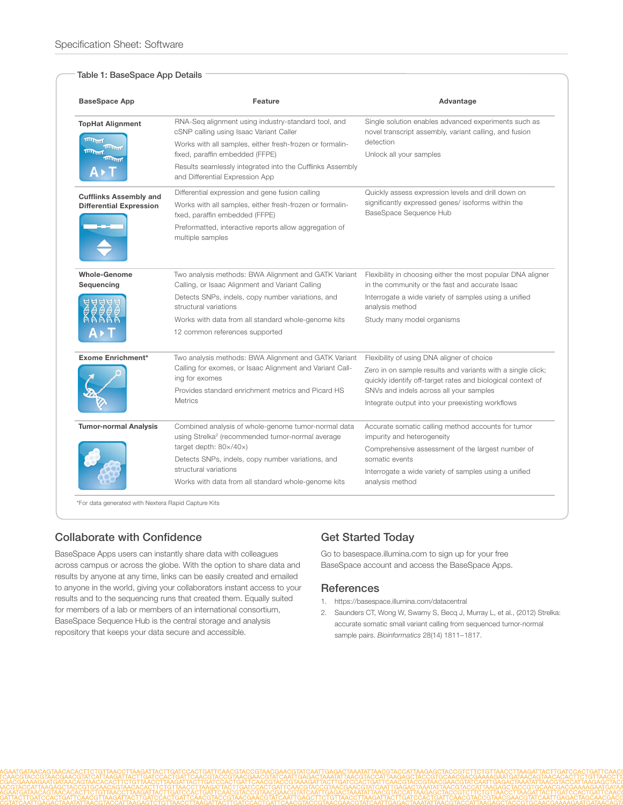#### Table 1: BaseSpace App Details

| <b>BaseSpace App</b>                                                                                    | Feature                                                                                                                                                                                                                                      | Advantage                                                                                                                                              |
|---------------------------------------------------------------------------------------------------------|----------------------------------------------------------------------------------------------------------------------------------------------------------------------------------------------------------------------------------------------|--------------------------------------------------------------------------------------------------------------------------------------------------------|
| <b>TopHat Alignment</b><br><b>TITULATION</b><br><b>TITULATION</b><br><b>TIMUTHE</b><br><b>TITTITITI</b> | RNA-Seq alignment using industry-standard tool, and<br>cSNP calling using Isaac Variant Caller<br>Works with all samples, either fresh-frozen or formalin-<br>fixed, paraffin embedded (FFPE)                                                | Single solution enables advanced experiments such as<br>novel transcript assembly, variant calling, and fusion<br>detection<br>Unlock all your samples |
|                                                                                                         | Results seamlessly integrated into the Cufflinks Assembly<br>and Differential Expression App                                                                                                                                                 |                                                                                                                                                        |
| <b>Cufflinks Assembly and</b><br><b>Differential Expression</b>                                         | Differential expression and gene fusion calling                                                                                                                                                                                              | Quickly assess expression levels and drill down on<br>significantly expressed genes/ isoforms within the<br>BaseSpace Sequence Hub                     |
|                                                                                                         | Works with all samples, either fresh-frozen or formalin-<br>fxed, paraffin embedded (FFPE)                                                                                                                                                   |                                                                                                                                                        |
|                                                                                                         | Preformatted, interactive reports allow aggregation of<br>multiple samples                                                                                                                                                                   |                                                                                                                                                        |
| <b>Whole-Genome</b>                                                                                     | Two analysis methods: BWA Alignment and GATK Variant                                                                                                                                                                                         | Flexibility in choosing either the most popular DNA aligner                                                                                            |
| Sequencing                                                                                              | Calling, or Isaac Alignment and Variant Calling<br>Detects SNPs, indels, copy number variations, and<br>structural variations                                                                                                                | in the community or the fast and accurate Isaac<br>Interrogate a wide variety of samples using a unified<br>analysis method                            |
|                                                                                                         | Works with data from all standard whole-genome kits                                                                                                                                                                                          | Study many model organisms                                                                                                                             |
|                                                                                                         | 12 common references supported                                                                                                                                                                                                               |                                                                                                                                                        |
| <b>Exome Enrichment*</b>                                                                                | Two analysis methods: BWA Alignment and GATK Variant<br>Calling for exomes, or Isaac Alignment and Variant Call-<br>ing for exomes<br>Provides standard enrichment metrics and Picard HS                                                     | Flexibility of using DNA aligner of choice                                                                                                             |
|                                                                                                         |                                                                                                                                                                                                                                              | Zero in on sample results and variants with a single click;<br>quickly identify off-target rates and biological context of                             |
|                                                                                                         |                                                                                                                                                                                                                                              | SNVs and indels across all your samples                                                                                                                |
|                                                                                                         | <b>Metrics</b>                                                                                                                                                                                                                               | Integrate output into your preexisting workflows                                                                                                       |
| <b>Tumor-normal Analysis</b>                                                                            | Combined analysis of whole-genome tumor-normal data<br>using Strelka <sup>2</sup> (recommended tumor-normal average<br>target depth: $80 \times / 40 \times$ )<br>Detects SNPs, indels, copy number variations, and<br>structural variations | Accurate somatic calling method accounts for tumor<br>impurity and heterogeneity                                                                       |
|                                                                                                         |                                                                                                                                                                                                                                              | Comprehensive assessment of the largest number of<br>somatic events                                                                                    |
|                                                                                                         |                                                                                                                                                                                                                                              |                                                                                                                                                        |
|                                                                                                         |                                                                                                                                                                                                                                              | Works with data from all standard whole-genome kits                                                                                                    |

## Collaborate with Confidence

BaseSpace Apps users can instantly share data with colleagues across campus or across the globe. With the option to share data and results by anyone at any time, links can be easily created and emailed to anyone in the world, giving your collaborators instant access to your results and to the sequencing runs that created them. Equally suited for members of a lab or members of an international consortium, BaseSpace Sequence Hub is the central storage and analysis repository that keeps your data secure and accessible.

## Get Started Today

Go to<basespace.illumina.com>to sign up for your free BaseSpace account and access the BaseSpace Apps.

### **References**

- 1. https://basespace.illumina.com/datacentral
- 2. [Saunders CT, Wong W, Swamy S, Becq J, Murray L, et al., \(2012\) Strelka:](http://bioinformatics.oxfordjournals.org/content/28/14/1811.long)  [accurate somatic small variant calling from sequenced tumor-normal](http://bioinformatics.oxfordjournals.org/content/28/14/1811.long)  sample pairs. *Bioinformatics* [28\(14\) 1811−1817.](http://bioinformatics.oxfordjournals.org/content/28/14/1811.long)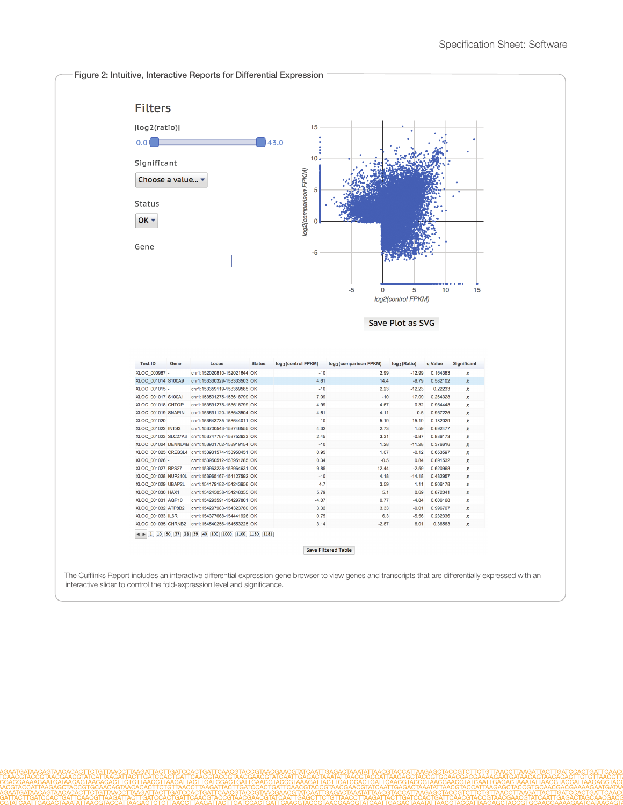